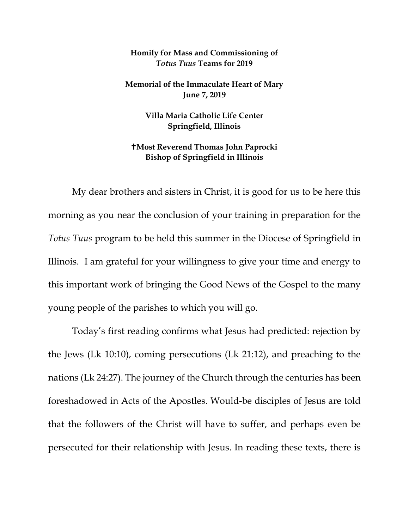## **Homily for Mass and Commissioning of**  *Totus Tuus* **Teams for 2019**

**Memorial of the Immaculate Heart of Mary June 7, 2019**

> **Villa Maria Catholic Life Center Springfield, Illinois**

## **Most Reverend Thomas John Paprocki Bishop of Springfield in Illinois**

My dear brothers and sisters in Christ, it is good for us to be here this morning as you near the conclusion of your training in preparation for the *Totus Tuus* program to be held this summer in the Diocese of Springfield in Illinois. I am grateful for your willingness to give your time and energy to this important work of bringing the Good News of the Gospel to the many young people of the parishes to which you will go.

Today's first reading confirms what Jesus had predicted: rejection by the Jews (Lk 10:10), coming persecutions (Lk 21:12), and preaching to the nations (Lk 24:27). The journey of the Church through the centuries has been foreshadowed in Acts of the Apostles. Would-be disciples of Jesus are told that the followers of the Christ will have to suffer, and perhaps even be persecuted for their relationship with Jesus. In reading these texts, there is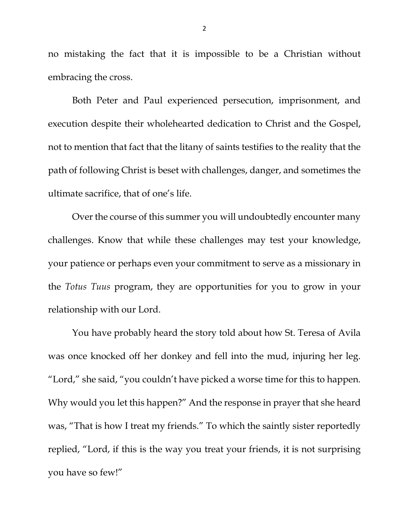no mistaking the fact that it is impossible to be a Christian without embracing the cross.

Both Peter and Paul experienced persecution, imprisonment, and execution despite their wholehearted dedication to Christ and the Gospel, not to mention that fact that the litany of saints testifies to the reality that the path of following Christ is beset with challenges, danger, and sometimes the ultimate sacrifice, that of one's life.

Over the course of this summer you will undoubtedly encounter many challenges. Know that while these challenges may test your knowledge, your patience or perhaps even your commitment to serve as a missionary in the *Totus Tuus* program, they are opportunities for you to grow in your relationship with our Lord.

You have probably heard the story told about how St. Teresa of Avila was once knocked off her donkey and fell into the mud, injuring her leg. "Lord," she said, "you couldn't have picked a worse time for this to happen. Why would you let this happen?" And the response in prayer that she heard was, "That is how I treat my friends." To which the saintly sister reportedly replied, "Lord, if this is the way you treat your friends, it is not surprising you have so few!"